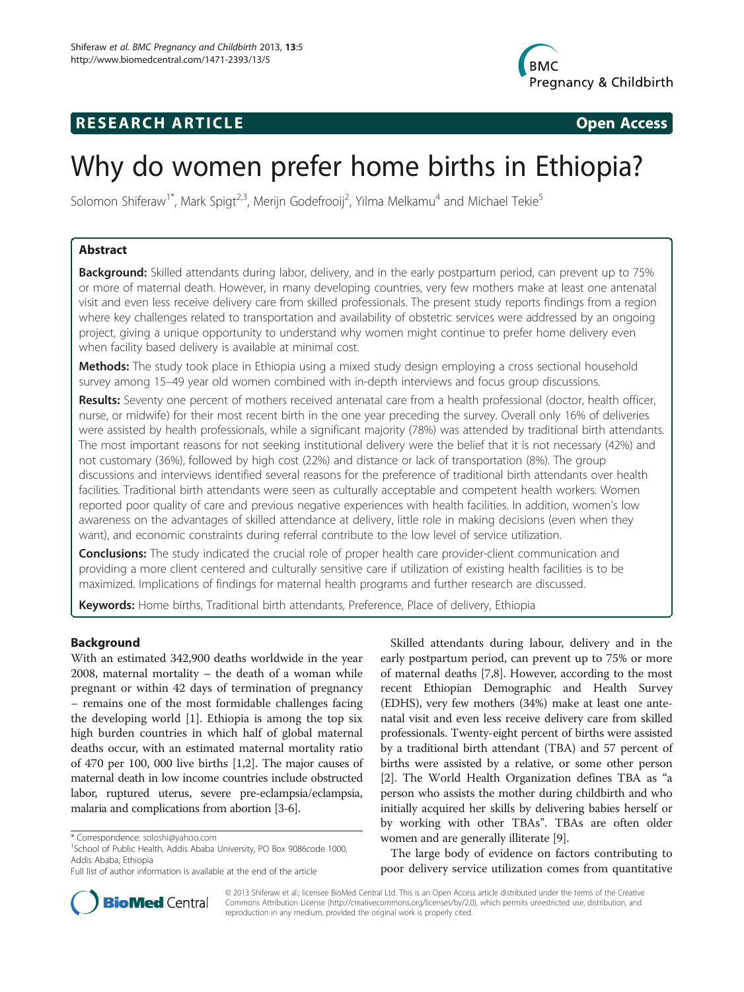



# Why do women prefer home births in Ethiopia?

Solomon Shiferaw<sup>1\*</sup>, Mark Spigt<sup>2,3</sup>, Merijn Godefrooij<sup>2</sup>, Yilma Melkamu<sup>4</sup> and Michael Tekie<sup>5</sup>

# Abstract

Background: Skilled attendants during labor, delivery, and in the early postpartum period, can prevent up to 75% or more of maternal death. However, in many developing countries, very few mothers make at least one antenatal visit and even less receive delivery care from skilled professionals. The present study reports findings from a region where key challenges related to transportation and availability of obstetric services were addressed by an ongoing project, giving a unique opportunity to understand why women might continue to prefer home delivery even when facility based delivery is available at minimal cost.

Methods: The study took place in Ethiopia using a mixed study design employing a cross sectional household survey among 15–49 year old women combined with in-depth interviews and focus group discussions.

Results: Seventy one percent of mothers received antenatal care from a health professional (doctor, health officer, nurse, or midwife) for their most recent birth in the one year preceding the survey. Overall only 16% of deliveries were assisted by health professionals, while a significant majority (78%) was attended by traditional birth attendants. The most important reasons for not seeking institutional delivery were the belief that it is not necessary (42%) and not customary (36%), followed by high cost (22%) and distance or lack of transportation (8%). The group discussions and interviews identified several reasons for the preference of traditional birth attendants over health facilities. Traditional birth attendants were seen as culturally acceptable and competent health workers. Women reported poor quality of care and previous negative experiences with health facilities. In addition, women's low awareness on the advantages of skilled attendance at delivery, little role in making decisions (even when they want), and economic constraints during referral contribute to the low level of service utilization.

**Conclusions:** The study indicated the crucial role of proper health care provider-client communication and providing a more client centered and culturally sensitive care if utilization of existing health facilities is to be maximized. Implications of findings for maternal health programs and further research are discussed.

Keywords: Home births, Traditional birth attendants, Preference, Place of delivery, Ethiopia

# Background

With an estimated 342,900 deaths worldwide in the year 2008, maternal mortality – the death of a woman while pregnant or within 42 days of termination of pregnancy – remains one of the most formidable challenges facing the developing world [[1\]](#page-8-0). Ethiopia is among the top six high burden countries in which half of global maternal deaths occur, with an estimated maternal mortality ratio of 470 per 100, 000 live births [\[1,2](#page-8-0)]. The major causes of maternal death in low income countries include obstructed labor, ruptured uterus, severe pre-eclampsia/eclampsia, malaria and complications from abortion [[3-6\]](#page-8-0).

Skilled attendants during labour, delivery and in the early postpartum period, can prevent up to 75% or more of maternal deaths [\[7,8\]](#page-8-0). However, according to the most recent Ethiopian Demographic and Health Survey (EDHS), very few mothers (34%) make at least one antenatal visit and even less receive delivery care from skilled professionals. Twenty-eight percent of births were assisted by a traditional birth attendant (TBA) and 57 percent of births were assisted by a relative, or some other person [[2\]](#page-8-0). The World Health Organization defines TBA as "a person who assists the mother during childbirth and who initially acquired her skills by delivering babies herself or by working with other TBAs". TBAs are often older women and are generally illiterate [[9\]](#page-8-0).

The large body of evidence on factors contributing to poor delivery service utilization comes from quantitative



© 2013 Shiferaw et al.; licensee BioMed Central Ltd. This is an Open Access article distributed under the terms of the Creative Commons Attribution License [\(http://creativecommons.org/licenses/by/2.0\)](http://creativecommons.org/licenses/by/2.0), which permits unrestricted use, distribution, and reproduction in any medium, provided the original work is properly cited.

<sup>\*</sup> Correspondence: [soloshi@yahoo.com](mailto:soloshi@yahoo.com) <sup>1</sup>

<sup>&</sup>lt;sup>1</sup>School of Public Health, Addis Ababa University, PO Box 9086code 1000, Addis Ababa, Ethiopia

Full list of author information is available at the end of the article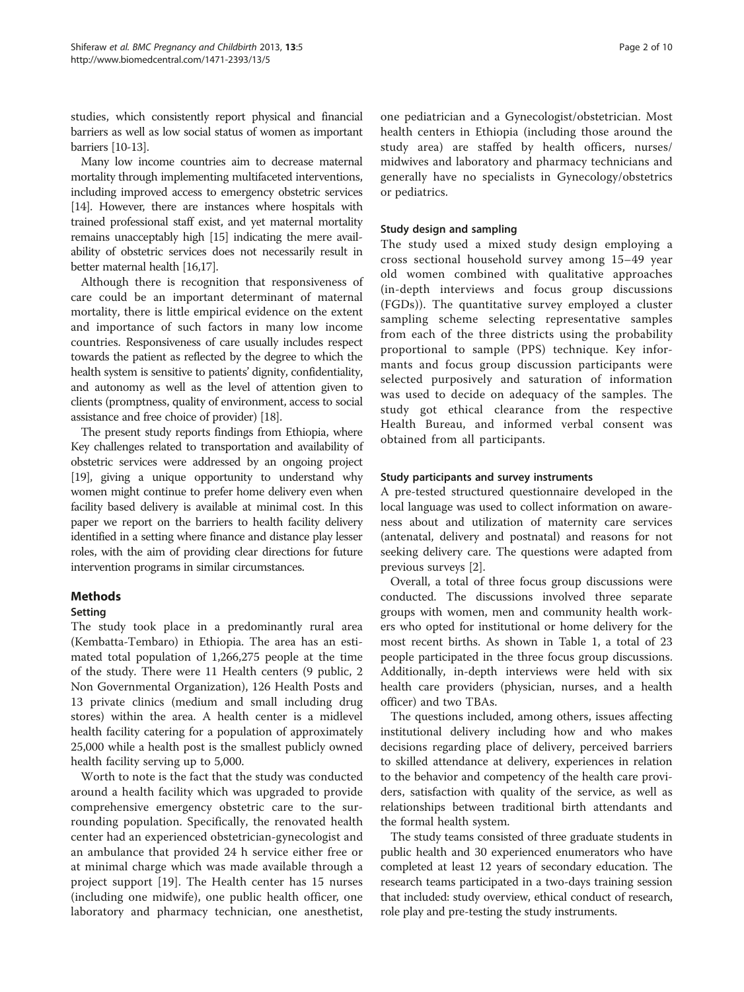studies, which consistently report physical and financial barriers as well as low social status of women as important barriers [\[10-13](#page-8-0)].

Many low income countries aim to decrease maternal mortality through implementing multifaceted interventions, including improved access to emergency obstetric services [[14](#page-8-0)]. However, there are instances where hospitals with trained professional staff exist, and yet maternal mortality remains unacceptably high [[15](#page-8-0)] indicating the mere availability of obstetric services does not necessarily result in better maternal health [\[16,17\]](#page-8-0).

Although there is recognition that responsiveness of care could be an important determinant of maternal mortality, there is little empirical evidence on the extent and importance of such factors in many low income countries. Responsiveness of care usually includes respect towards the patient as reflected by the degree to which the health system is sensitive to patients' dignity, confidentiality, and autonomy as well as the level of attention given to clients (promptness, quality of environment, access to social assistance and free choice of provider) [\[18\]](#page-8-0).

The present study reports findings from Ethiopia, where Key challenges related to transportation and availability of obstetric services were addressed by an ongoing project [[19](#page-8-0)], giving a unique opportunity to understand why women might continue to prefer home delivery even when facility based delivery is available at minimal cost. In this paper we report on the barriers to health facility delivery identified in a setting where finance and distance play lesser roles, with the aim of providing clear directions for future intervention programs in similar circumstances.

## **Methods**

#### Setting

The study took place in a predominantly rural area (Kembatta-Tembaro) in Ethiopia. The area has an estimated total population of 1,266,275 people at the time of the study. There were 11 Health centers (9 public, 2 Non Governmental Organization), 126 Health Posts and 13 private clinics (medium and small including drug stores) within the area. A health center is a midlevel health facility catering for a population of approximately 25,000 while a health post is the smallest publicly owned health facility serving up to 5,000.

Worth to note is the fact that the study was conducted around a health facility which was upgraded to provide comprehensive emergency obstetric care to the surrounding population. Specifically, the renovated health center had an experienced obstetrician-gynecologist and an ambulance that provided 24 h service either free or at minimal charge which was made available through a project support [\[19\]](#page-8-0). The Health center has 15 nurses (including one midwife), one public health officer, one laboratory and pharmacy technician, one anesthetist, one pediatrician and a Gynecologist/obstetrician. Most health centers in Ethiopia (including those around the study area) are staffed by health officers, nurses/ midwives and laboratory and pharmacy technicians and generally have no specialists in Gynecology/obstetrics or pediatrics.

#### Study design and sampling

The study used a mixed study design employing a cross sectional household survey among 15–49 year old women combined with qualitative approaches (in-depth interviews and focus group discussions (FGDs)). The quantitative survey employed a cluster sampling scheme selecting representative samples from each of the three districts using the probability proportional to sample (PPS) technique. Key informants and focus group discussion participants were selected purposively and saturation of information was used to decide on adequacy of the samples. The study got ethical clearance from the respective Health Bureau, and informed verbal consent was obtained from all participants.

#### Study participants and survey instruments

A pre-tested structured questionnaire developed in the local language was used to collect information on awareness about and utilization of maternity care services (antenatal, delivery and postnatal) and reasons for not seeking delivery care. The questions were adapted from previous surveys [[2\]](#page-8-0).

Overall, a total of three focus group discussions were conducted. The discussions involved three separate groups with women, men and community health workers who opted for institutional or home delivery for the most recent births. As shown in Table [1,](#page-2-0) a total of 23 people participated in the three focus group discussions. Additionally, in-depth interviews were held with six health care providers (physician, nurses, and a health officer) and two TBAs.

The questions included, among others, issues affecting institutional delivery including how and who makes decisions regarding place of delivery, perceived barriers to skilled attendance at delivery, experiences in relation to the behavior and competency of the health care providers, satisfaction with quality of the service, as well as relationships between traditional birth attendants and the formal health system.

The study teams consisted of three graduate students in public health and 30 experienced enumerators who have completed at least 12 years of secondary education. The research teams participated in a two-days training session that included: study overview, ethical conduct of research, role play and pre-testing the study instruments.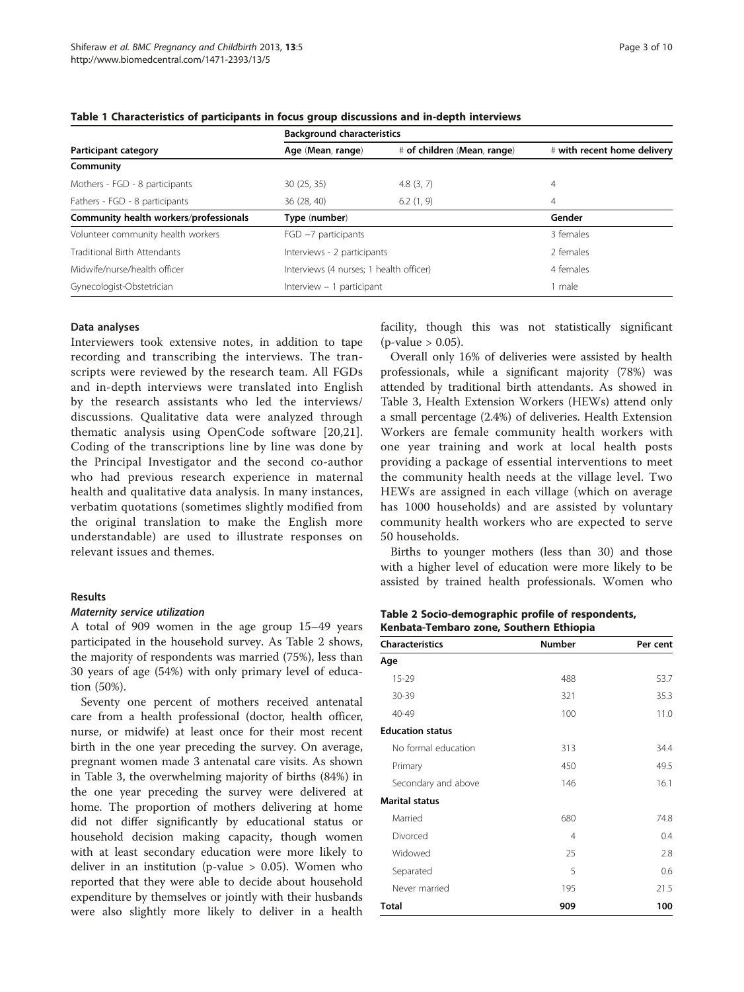|                                        | <b>Background characteristics</b>                |           |                             |  |  |  |
|----------------------------------------|--------------------------------------------------|-----------|-----------------------------|--|--|--|
| <b>Participant category</b>            | # of children (Mean, range)<br>Age (Mean, range) |           | # with recent home delivery |  |  |  |
| Community                              |                                                  |           |                             |  |  |  |
| Mothers - FGD - 8 participants         | 30(25, 35)                                       | 4.8(3, 7) | 4                           |  |  |  |
| Fathers - FGD - 8 participants         | 36 (28, 40)                                      | 6.2(1, 9) | 4                           |  |  |  |
| Community health workers/professionals | Type (number)                                    |           | Gender                      |  |  |  |
| Volunteer community health workers     | $FGD - 7$ participants                           |           | 3 females                   |  |  |  |
| Traditional Birth Attendants           | Interviews - 2 participants                      |           | 2 females                   |  |  |  |
| Midwife/nurse/health officer           | Interviews (4 nurses; 1 health officer)          |           | 4 females                   |  |  |  |
| Gynecologist-Obstetrician              | Interview $-1$ participant                       |           | 1 male                      |  |  |  |

#### <span id="page-2-0"></span>Table 1 Characteristics of participants in focus group discussions and in-depth interviews

#### Data analyses

Interviewers took extensive notes, in addition to tape recording and transcribing the interviews. The transcripts were reviewed by the research team. All FGDs and in-depth interviews were translated into English by the research assistants who led the interviews/ discussions. Qualitative data were analyzed through thematic analysis using OpenCode software [\[20,21](#page-8-0)]. Coding of the transcriptions line by line was done by the Principal Investigator and the second co-author who had previous research experience in maternal health and qualitative data analysis. In many instances, verbatim quotations (sometimes slightly modified from the original translation to make the English more understandable) are used to illustrate responses on relevant issues and themes.

#### Results

#### Maternity service utilization

A total of 909 women in the age group 15–49 years participated in the household survey. As Table 2 shows, the majority of respondents was married (75%), less than 30 years of age (54%) with only primary level of education (50%).

Seventy one percent of mothers received antenatal care from a health professional (doctor, health officer, nurse, or midwife) at least once for their most recent birth in the one year preceding the survey. On average, pregnant women made 3 antenatal care visits. As shown in Table [3](#page-3-0), the overwhelming majority of births (84%) in the one year preceding the survey were delivered at home. The proportion of mothers delivering at home did not differ significantly by educational status or household decision making capacity, though women with at least secondary education were more likely to deliver in an institution (p-value > 0.05). Women who reported that they were able to decide about household expenditure by themselves or jointly with their husbands were also slightly more likely to deliver in a health facility, though this was not statistically significant  $(p$ -value  $> 0.05$ ).

Overall only 16% of deliveries were assisted by health professionals, while a significant majority (78%) was attended by traditional birth attendants. As showed in Table [3](#page-3-0), Health Extension Workers (HEWs) attend only a small percentage (2.4%) of deliveries. Health Extension Workers are female community health workers with one year training and work at local health posts providing a package of essential interventions to meet the community health needs at the village level. Two HEWs are assigned in each village (which on average has 1000 households) and are assisted by voluntary community health workers who are expected to serve 50 households.

Births to younger mothers (less than 30) and those with a higher level of education were more likely to be assisted by trained health professionals. Women who

#### Table 2 Socio-demographic profile of respondents, Kenbata-Tembaro zone, Southern Ethiopia

| <b>Characteristics</b>  | <b>Number</b> | Per cent |  |
|-------------------------|---------------|----------|--|
| Age                     |               |          |  |
| $15 - 29$               | 488           | 53.7     |  |
| 30-39                   | 321           | 35.3     |  |
| 40-49                   | 100           | 11.0     |  |
| <b>Education status</b> |               |          |  |
| No formal education     | 313           | 34.4     |  |
| Primary                 | 450           | 49.5     |  |
| Secondary and above     | 146           | 16.1     |  |
| <b>Marital status</b>   |               |          |  |
| Married                 | 680           | 74.8     |  |
| Divorced                | 4             | 0.4      |  |
| Widowed                 | 25            | 2.8      |  |
| Separated               | 5             | 0.6      |  |
| Never married           | 195           | 21.5     |  |
| <b>Total</b>            | 909           | 100      |  |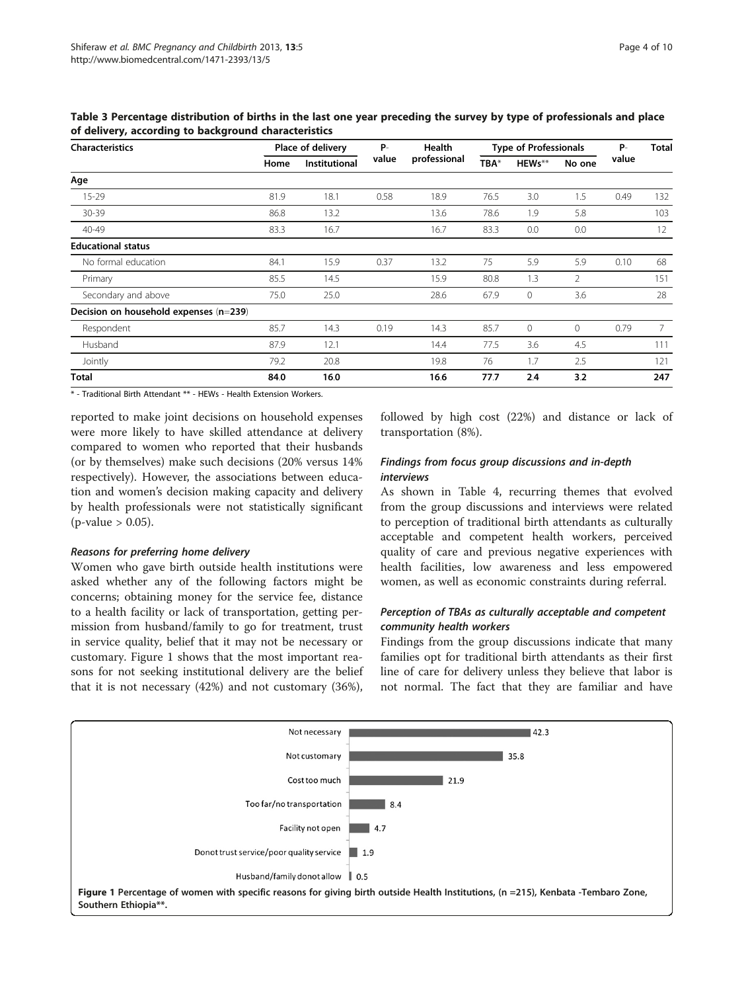| <b>Characteristics</b>                 | Place of delivery |                      | $P -$ | <b>Health</b> | <b>Type of Professionals</b> |        | $P -$          | <b>Total</b> |     |
|----------------------------------------|-------------------|----------------------|-------|---------------|------------------------------|--------|----------------|--------------|-----|
|                                        | Home              | <b>Institutional</b> | value | professional  | TBA*                         | HEWs** | No one         | value        |     |
| Age                                    |                   |                      |       |               |                              |        |                |              |     |
| $15 - 29$                              | 81.9              | 18.1                 | 0.58  | 18.9          | 76.5                         | 3.0    | 1.5            | 0.49         | 132 |
| $30 - 39$                              | 86.8              | 13.2                 |       | 13.6          | 78.6                         | 1.9    | 5.8            |              | 103 |
| 40-49                                  | 83.3              | 16.7                 |       | 16.7          | 83.3                         | 0.0    | 0.0            |              | 12  |
| <b>Educational status</b>              |                   |                      |       |               |                              |        |                |              |     |
| No formal education                    | 84.1              | 15.9                 | 0.37  | 13.2          | 75                           | 5.9    | 5.9            | 0.10         | 68  |
| Primary                                | 85.5              | 14.5                 |       | 15.9          | 80.8                         | 1.3    | 2              |              | 151 |
| Secondary and above                    | 75.0              | 25.0                 |       | 28.6          | 67.9                         | 0      | 3.6            |              | 28  |
| Decision on household expenses (n=239) |                   |                      |       |               |                              |        |                |              |     |
| Respondent                             | 85.7              | 14.3                 | 0.19  | 14.3          | 85.7                         | 0      | $\overline{0}$ | 0.79         | 7   |
| Husband                                | 87.9              | 12.1                 |       | 14.4          | 77.5                         | 3.6    | 4.5            |              | 111 |
| Jointly                                | 79.2              | 20.8                 |       | 19.8          | 76                           | 1.7    | 2.5            |              | 121 |
| Total                                  | 84.0              | 16.0                 |       | 16.6          | 77.7                         | 2.4    | 3.2            |              | 247 |

<span id="page-3-0"></span>Table 3 Percentage distribution of births in the last one year preceding the survey by type of professionals and place of delivery, according to background characteristics

\* - Traditional Birth Attendant \*\* - HEWs - Health Extension Workers.

reported to make joint decisions on household expenses were more likely to have skilled attendance at delivery compared to women who reported that their husbands (or by themselves) make such decisions (20% versus 14% respectively). However, the associations between education and women's decision making capacity and delivery by health professionals were not statistically significant  $(p$ -value  $> 0.05$ ).

#### Reasons for preferring home delivery

Women who gave birth outside health institutions were asked whether any of the following factors might be concerns; obtaining money for the service fee, distance to a health facility or lack of transportation, getting permission from husband/family to go for treatment, trust in service quality, belief that it may not be necessary or customary. Figure 1 shows that the most important reasons for not seeking institutional delivery are the belief that it is not necessary (42%) and not customary (36%),

followed by high cost (22%) and distance or lack of transportation (8%).

#### Findings from focus group discussions and in-depth interviews

As shown in Table [4,](#page-4-0) recurring themes that evolved from the group discussions and interviews were related to perception of traditional birth attendants as culturally acceptable and competent health workers, perceived quality of care and previous negative experiences with health facilities, low awareness and less empowered women, as well as economic constraints during referral.

## Perception of TBAs as culturally acceptable and competent community health workers

Findings from the group discussions indicate that many families opt for traditional birth attendants as their first line of care for delivery unless they believe that labor is not normal. The fact that they are familiar and have

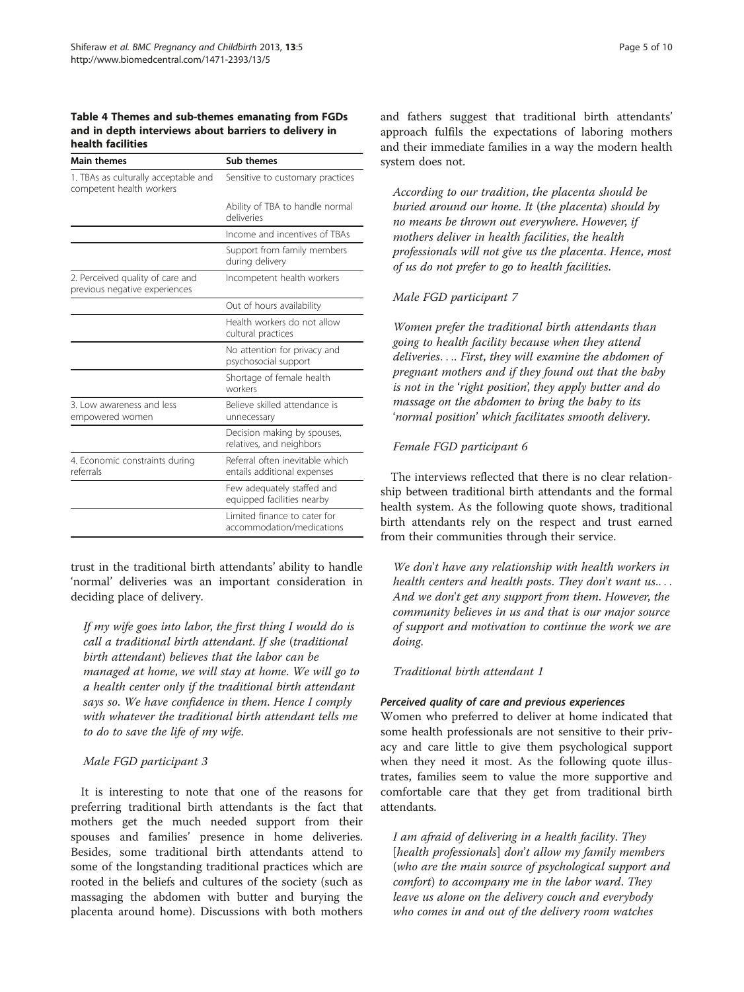<span id="page-4-0"></span>Table 4 Themes and sub-themes emanating from FGDs and in depth interviews about barriers to delivery in health facilities

| <b>Main themes</b>                                                | Sub themes                                                     |
|-------------------------------------------------------------------|----------------------------------------------------------------|
| 1. TBAs as culturally acceptable and<br>competent health workers  | Sensitive to customary practices                               |
|                                                                   | Ability of TBA to handle normal<br>deliveries                  |
|                                                                   | Income and incentives of TBAs                                  |
|                                                                   | Support from family members<br>during delivery                 |
| 2. Perceived quality of care and<br>previous negative experiences | Incompetent health workers                                     |
|                                                                   | Out of hours availability                                      |
|                                                                   | Health workers do not allow<br>cultural practices              |
|                                                                   | No attention for privacy and<br>psychosocial support           |
|                                                                   | Shortage of female health<br>workers                           |
| 3. Low awareness and less<br>empowered women                      | Believe skilled attendance is<br>unnecessary                   |
|                                                                   | Decision making by spouses,<br>relatives, and neighbors        |
| 4. Economic constraints during<br>referrals                       | Referral often inevitable which<br>entails additional expenses |
|                                                                   | Few adequately staffed and<br>equipped facilities nearby       |
|                                                                   | I imited finance to cater for<br>accommodation/medications     |

trust in the traditional birth attendants' ability to handle 'normal' deliveries was an important consideration in deciding place of delivery.

If my wife goes into labor, the first thing I would do is call a traditional birth attendant. If she (traditional birth attendant) believes that the labor can be managed at home, we will stay at home. We will go to a health center only if the traditional birth attendant says so. We have confidence in them. Hence I comply with whatever the traditional birth attendant tells me to do to save the life of my wife.

#### Male FGD participant 3

It is interesting to note that one of the reasons for preferring traditional birth attendants is the fact that mothers get the much needed support from their spouses and families' presence in home deliveries. Besides, some traditional birth attendants attend to some of the longstanding traditional practices which are rooted in the beliefs and cultures of the society (such as massaging the abdomen with butter and burying the placenta around home). Discussions with both mothers and fathers suggest that traditional birth attendants' approach fulfils the expectations of laboring mothers and their immediate families in a way the modern health system does not.

According to our tradition, the placenta should be buried around our home. It (the placenta) should by no means be thrown out everywhere. However, if mothers deliver in health facilities, the health professionals will not give us the placenta. Hence, most of us do not prefer to go to health facilities.

## Male FGD participant 7

Women prefer the traditional birth attendants than going to health facility because when they attend deliveries.... First, they will examine the abdomen of pregnant mothers and if they found out that the baby is not in the 'right position', they apply butter and do massage on the abdomen to bring the baby to its 'normal position' which facilitates smooth delivery.

## Female FGD participant 6

The interviews reflected that there is no clear relationship between traditional birth attendants and the formal health system. As the following quote shows, traditional birth attendants rely on the respect and trust earned from their communities through their service.

We don't have any relationship with health workers in health centers and health posts. They don't want us.... And we don't get any support from them. However, the community believes in us and that is our major source of support and motivation to continue the work we are doing.

## Traditional birth attendant 1

#### Perceived quality of care and previous experiences

Women who preferred to deliver at home indicated that some health professionals are not sensitive to their privacy and care little to give them psychological support when they need it most. As the following quote illustrates, families seem to value the more supportive and comfortable care that they get from traditional birth attendants.

I am afraid of delivering in a health facility. They [health professionals] don't allow my family members (who are the main source of psychological support and comfort) to accompany me in the labor ward. They leave us alone on the delivery couch and everybody who comes in and out of the delivery room watches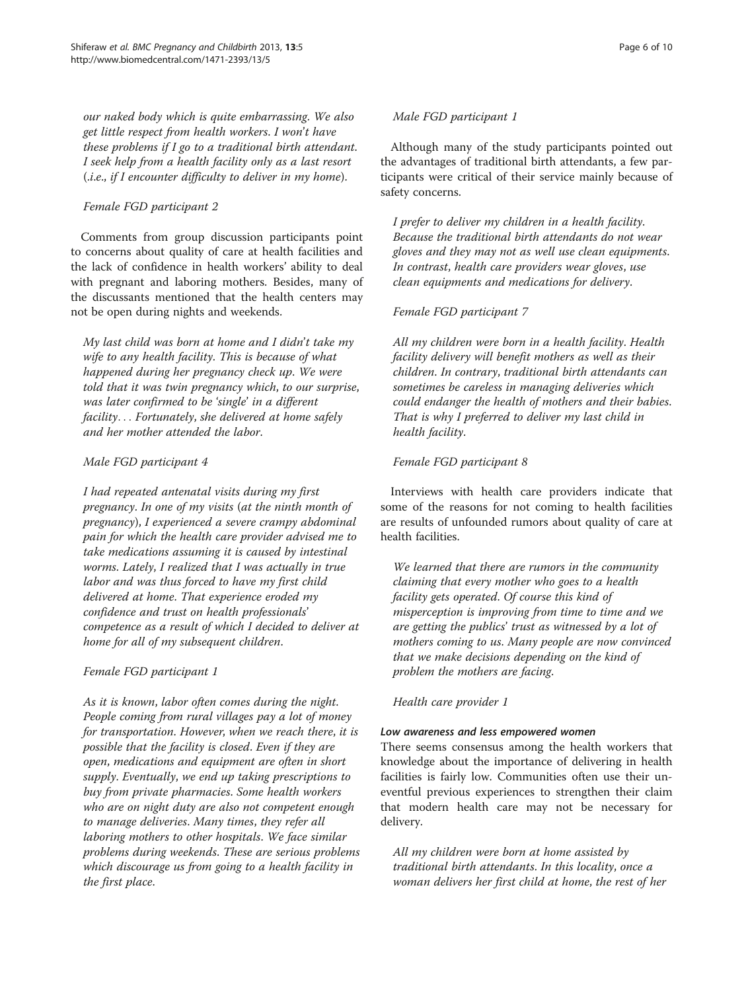our naked body which is quite embarrassing. We also get little respect from health workers. I won't have these problems if I go to a traditional birth attendant. I seek help from a health facility only as a last resort (.i.e., if I encounter difficulty to deliver in my home).

# Female FGD participant 2

Comments from group discussion participants point to concerns about quality of care at health facilities and the lack of confidence in health workers' ability to deal with pregnant and laboring mothers. Besides, many of the discussants mentioned that the health centers may not be open during nights and weekends.

My last child was born at home and I didn't take my wife to any health facility. This is because of what happened during her pregnancy check up. We were told that it was twin pregnancy which, to our surprise, was later confirmed to be 'single' in a different facility... Fortunately, she delivered at home safely and her mother attended the labor.

# Male FGD participant 4

I had repeated antenatal visits during my first pregnancy. In one of my visits (at the ninth month of pregnancy), I experienced a severe crampy abdominal pain for which the health care provider advised me to take medications assuming it is caused by intestinal worms. Lately, I realized that I was actually in true labor and was thus forced to have my first child delivered at home. That experience eroded my confidence and trust on health professionals' competence as a result of which I decided to deliver at home for all of my subsequent children.

# Female FGD participant 1

As it is known, labor often comes during the night. People coming from rural villages pay a lot of money for transportation. However, when we reach there, it is possible that the facility is closed. Even if they are open, medications and equipment are often in short supply. Eventually, we end up taking prescriptions to buy from private pharmacies. Some health workers who are on night duty are also not competent enough to manage deliveries. Many times, they refer all laboring mothers to other hospitals. We face similar problems during weekends. These are serious problems which discourage us from going to a health facility in the first place.

## Male FGD participant 1

Although many of the study participants pointed out the advantages of traditional birth attendants, a few participants were critical of their service mainly because of safety concerns.

I prefer to deliver my children in a health facility. Because the traditional birth attendants do not wear gloves and they may not as well use clean equipments. In contrast, health care providers wear gloves, use clean equipments and medications for delivery.

# Female FGD participant 7

All my children were born in a health facility. Health facility delivery will benefit mothers as well as their children. In contrary, traditional birth attendants can sometimes be careless in managing deliveries which could endanger the health of mothers and their babies. That is why I preferred to deliver my last child in health facility.

# Female FGD participant 8

Interviews with health care providers indicate that some of the reasons for not coming to health facilities are results of unfounded rumors about quality of care at health facilities.

We learned that there are rumors in the community claiming that every mother who goes to a health facility gets operated. Of course this kind of misperception is improving from time to time and we are getting the publics' trust as witnessed by a lot of mothers coming to us. Many people are now convinced that we make decisions depending on the kind of problem the mothers are facing.

# Health care provider 1

## Low awareness and less empowered women

There seems consensus among the health workers that knowledge about the importance of delivering in health facilities is fairly low. Communities often use their uneventful previous experiences to strengthen their claim that modern health care may not be necessary for delivery.

All my children were born at home assisted by traditional birth attendants. In this locality, once a woman delivers her first child at home, the rest of her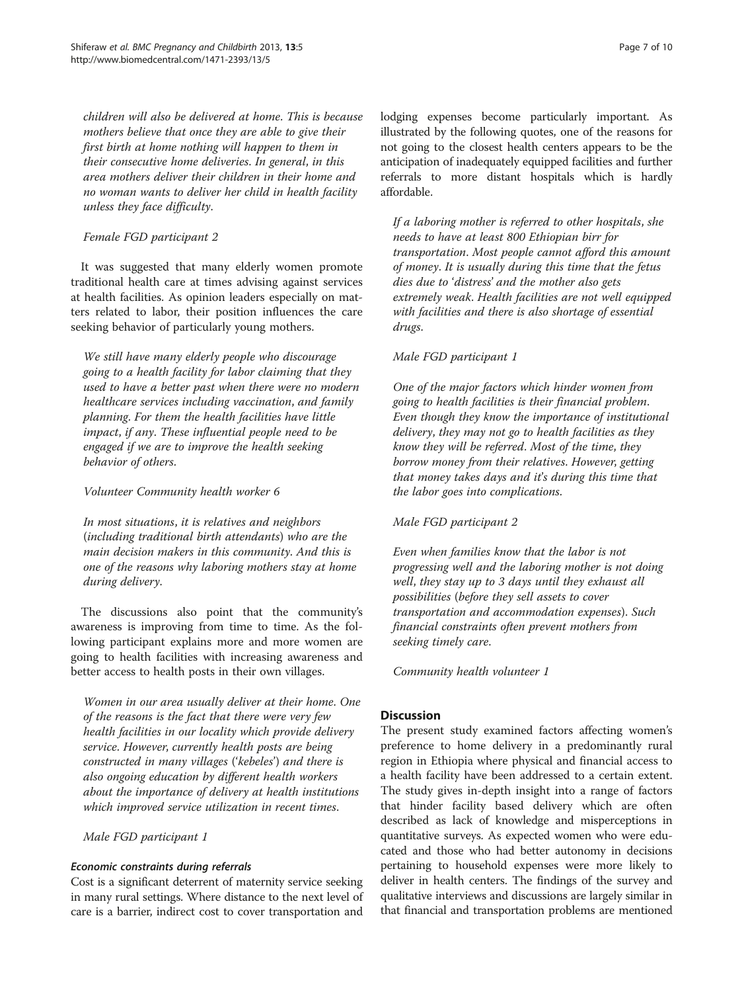children will also be delivered at home. This is because mothers believe that once they are able to give their first birth at home nothing will happen to them in their consecutive home deliveries. In general, in this area mothers deliver their children in their home and no woman wants to deliver her child in health facility unless they face difficulty.

## Female FGD participant 2

It was suggested that many elderly women promote traditional health care at times advising against services at health facilities. As opinion leaders especially on matters related to labor, their position influences the care seeking behavior of particularly young mothers.

We still have many elderly people who discourage going to a health facility for labor claiming that they used to have a better past when there were no modern healthcare services including vaccination, and family planning. For them the health facilities have little impact, if any. These influential people need to be engaged if we are to improve the health seeking behavior of others.

# Volunteer Community health worker 6

In most situations, it is relatives and neighbors (including traditional birth attendants) who are the main decision makers in this community. And this is one of the reasons why laboring mothers stay at home during delivery.

The discussions also point that the community's awareness is improving from time to time. As the following participant explains more and more women are going to health facilities with increasing awareness and better access to health posts in their own villages.

Women in our area usually deliver at their home. One of the reasons is the fact that there were very few health facilities in our locality which provide delivery service. However, currently health posts are being constructed in many villages ('kebeles') and there is also ongoing education by different health workers about the importance of delivery at health institutions which improved service utilization in recent times.

Male FGD participant 1

## Economic constraints during referrals

Cost is a significant deterrent of maternity service seeking in many rural settings. Where distance to the next level of care is a barrier, indirect cost to cover transportation and lodging expenses become particularly important. As illustrated by the following quotes, one of the reasons for not going to the closest health centers appears to be the anticipation of inadequately equipped facilities and further referrals to more distant hospitals which is hardly affordable.

If a laboring mother is referred to other hospitals, she needs to have at least 800 Ethiopian birr for transportation. Most people cannot afford this amount of money. It is usually during this time that the fetus dies due to 'distress' and the mother also gets extremely weak. Health facilities are not well equipped with facilities and there is also shortage of essential drugs.

# Male FGD participant 1

One of the major factors which hinder women from going to health facilities is their financial problem. Even though they know the importance of institutional delivery, they may not go to health facilities as they know they will be referred. Most of the time, they borrow money from their relatives. However, getting that money takes days and it's during this time that the labor goes into complications.

# Male FGD participant 2

Even when families know that the labor is not progressing well and the laboring mother is not doing well, they stay up to 3 days until they exhaust all possibilities (before they sell assets to cover transportation and accommodation expenses). Such financial constraints often prevent mothers from seeking timely care.

Community health volunteer 1

# **Discussion**

The present study examined factors affecting women's preference to home delivery in a predominantly rural region in Ethiopia where physical and financial access to a health facility have been addressed to a certain extent. The study gives in-depth insight into a range of factors that hinder facility based delivery which are often described as lack of knowledge and misperceptions in quantitative surveys. As expected women who were educated and those who had better autonomy in decisions pertaining to household expenses were more likely to deliver in health centers. The findings of the survey and qualitative interviews and discussions are largely similar in that financial and transportation problems are mentioned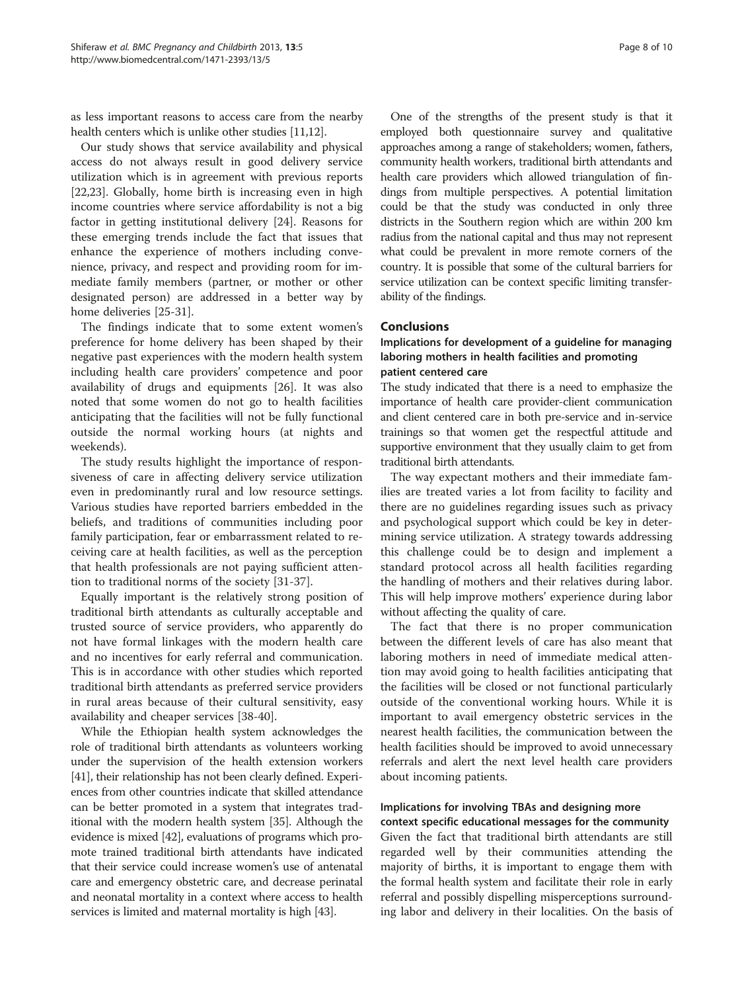as less important reasons to access care from the nearby health centers which is unlike other studies [\[11,12](#page-8-0)].

Our study shows that service availability and physical access do not always result in good delivery service utilization which is in agreement with previous reports [[22,23\]](#page-8-0). Globally, home birth is increasing even in high income countries where service affordability is not a big factor in getting institutional delivery [\[24\]](#page-8-0). Reasons for these emerging trends include the fact that issues that enhance the experience of mothers including convenience, privacy, and respect and providing room for immediate family members (partner, or mother or other designated person) are addressed in a better way by home deliveries [[25-](#page-8-0)[31](#page-9-0)].

The findings indicate that to some extent women's preference for home delivery has been shaped by their negative past experiences with the modern health system including health care providers' competence and poor availability of drugs and equipments [\[26](#page-8-0)]. It was also noted that some women do not go to health facilities anticipating that the facilities will not be fully functional outside the normal working hours (at nights and weekends).

The study results highlight the importance of responsiveness of care in affecting delivery service utilization even in predominantly rural and low resource settings. Various studies have reported barriers embedded in the beliefs, and traditions of communities including poor family participation, fear or embarrassment related to receiving care at health facilities, as well as the perception that health professionals are not paying sufficient attention to traditional norms of the society [\[31-37](#page-9-0)].

Equally important is the relatively strong position of traditional birth attendants as culturally acceptable and trusted source of service providers, who apparently do not have formal linkages with the modern health care and no incentives for early referral and communication. This is in accordance with other studies which reported traditional birth attendants as preferred service providers in rural areas because of their cultural sensitivity, easy availability and cheaper services [\[38](#page-9-0)-[40\]](#page-9-0).

While the Ethiopian health system acknowledges the role of traditional birth attendants as volunteers working under the supervision of the health extension workers [[41](#page-9-0)], their relationship has not been clearly defined. Experiences from other countries indicate that skilled attendance can be better promoted in a system that integrates traditional with the modern health system [[35](#page-9-0)]. Although the evidence is mixed [\[42](#page-9-0)], evaluations of programs which promote trained traditional birth attendants have indicated that their service could increase women's use of antenatal care and emergency obstetric care, and decrease perinatal and neonatal mortality in a context where access to health services is limited and maternal mortality is high [[43](#page-9-0)].

One of the strengths of the present study is that it employed both questionnaire survey and qualitative approaches among a range of stakeholders; women, fathers, community health workers, traditional birth attendants and health care providers which allowed triangulation of findings from multiple perspectives. A potential limitation could be that the study was conducted in only three districts in the Southern region which are within 200 km radius from the national capital and thus may not represent what could be prevalent in more remote corners of the country. It is possible that some of the cultural barriers for service utilization can be context specific limiting transferability of the findings.

#### Conclusions

## Implications for development of a guideline for managing laboring mothers in health facilities and promoting patient centered care

The study indicated that there is a need to emphasize the importance of health care provider-client communication and client centered care in both pre-service and in-service trainings so that women get the respectful attitude and supportive environment that they usually claim to get from traditional birth attendants.

The way expectant mothers and their immediate families are treated varies a lot from facility to facility and there are no guidelines regarding issues such as privacy and psychological support which could be key in determining service utilization. A strategy towards addressing this challenge could be to design and implement a standard protocol across all health facilities regarding the handling of mothers and their relatives during labor. This will help improve mothers' experience during labor without affecting the quality of care.

The fact that there is no proper communication between the different levels of care has also meant that laboring mothers in need of immediate medical attention may avoid going to health facilities anticipating that the facilities will be closed or not functional particularly outside of the conventional working hours. While it is important to avail emergency obstetric services in the nearest health facilities, the communication between the health facilities should be improved to avoid unnecessary referrals and alert the next level health care providers about incoming patients.

# Implications for involving TBAs and designing more

context specific educational messages for the community Given the fact that traditional birth attendants are still regarded well by their communities attending the majority of births, it is important to engage them with the formal health system and facilitate their role in early referral and possibly dispelling misperceptions surrounding labor and delivery in their localities. On the basis of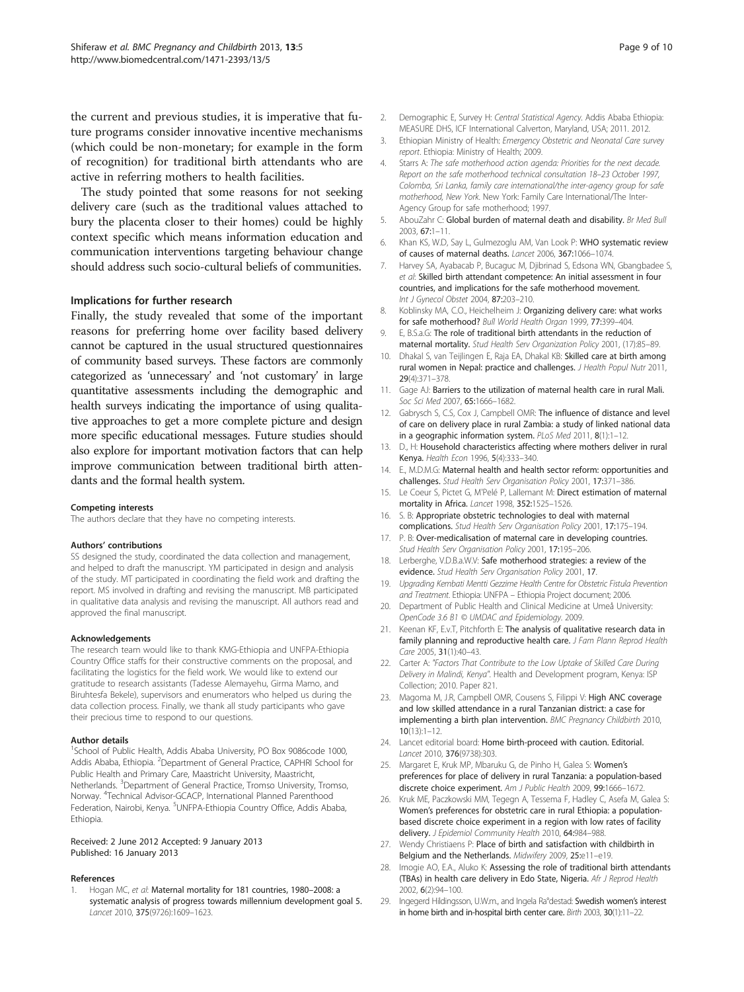<span id="page-8-0"></span>the current and previous studies, it is imperative that future programs consider innovative incentive mechanisms (which could be non-monetary; for example in the form of recognition) for traditional birth attendants who are active in referring mothers to health facilities.

The study pointed that some reasons for not seeking delivery care (such as the traditional values attached to bury the placenta closer to their homes) could be highly context specific which means information education and communication interventions targeting behaviour change should address such socio-cultural beliefs of communities.

#### Implications for further research

Finally, the study revealed that some of the important reasons for preferring home over facility based delivery cannot be captured in the usual structured questionnaires of community based surveys. These factors are commonly categorized as 'unnecessary' and 'not customary' in large quantitative assessments including the demographic and health surveys indicating the importance of using qualitative approaches to get a more complete picture and design more specific educational messages. Future studies should also explore for important motivation factors that can help improve communication between traditional birth attendants and the formal health system.

#### Competing interests

The authors declare that they have no competing interests.

#### Authors' contributions

SS designed the study, coordinated the data collection and management, and helped to draft the manuscript. YM participated in design and analysis of the study. MT participated in coordinating the field work and drafting the report. MS involved in drafting and revising the manuscript. MB participated in qualitative data analysis and revising the manuscript. All authors read and approved the final manuscript.

#### Acknowledgements

The research team would like to thank KMG-Ethiopia and UNFPA-Ethiopia Country Office staffs for their constructive comments on the proposal, and facilitating the logistics for the field work. We would like to extend our gratitude to research assistants (Tadesse Alemayehu, Girma Mamo, and Biruhtesfa Bekele), supervisors and enumerators who helped us during the data collection process. Finally, we thank all study participants who gave their precious time to respond to our questions.

#### Author details

<sup>1</sup>School of Public Health, Addis Ababa University, PO Box 9086code 1000, Addis Ababa, Ethiopia. <sup>2</sup>Department of General Practice, CAPHRI School for Public Health and Primary Care, Maastricht University, Maastricht, Netherlands. <sup>3</sup>Department of General Practice, Tromso University, Tromso, Norway. <sup>4</sup>Technical Advisor-GCACP, International Planned Parenthood Federation, Nairobi, Kenya. <sup>5</sup>UNFPA-Ethiopia Country Office, Addis Ababa, Ethiopia.

#### Received: 2 June 2012 Accepted: 9 January 2013 Published: 16 January 2013

#### References

Hogan MC, et al: Maternal mortality for 181 countries, 1980-2008: a systematic analysis of progress towards millennium development goal 5. Lancet 2010, 375(9726):1609–1623.

- 2. Demographic E, Survey H: Central Statistical Agency. Addis Ababa Ethiopia: MEASURE DHS, ICF International Calverton, Maryland, USA; 2011. 2012.
- 3. Ethiopian Ministry of Health: Emergency Obstetric and Neonatal Care survey report. Ethiopia: Ministry of Health; 2009.
- 4. Starrs A: The safe motherhood action agenda: Priorities for the next decade. Report on the safe motherhood technical consultation 18–23 October 1997, Colomba, Sri Lanka, family care international/the inter-agency group for safe motherhood, New York. New York: Family Care International/The Inter-Agency Group for safe motherhood; 1997.
- 5. AbouZahr C: Global burden of maternal death and disability. Br Med Bull 2003, 67:1–11.
- 6. Khan KS, W.D, Say L, Gulmezoglu AM, Van Look P: WHO systematic review of causes of maternal deaths. Lancet 2006, 367:1066–1074.
- 7. Harvey SA, Ayabacab P, Bucaguc M, Djibrinad S, Edsona WN, Gbangbadee S, et al: Skilled birth attendant competence: An initial assessment in four countries, and implications for the safe motherhood movement. Int J Gynecol Obstet 2004, 87:203–210.
- 8. Koblinsky MA, C.O., Heichelheim J: Organizing delivery care: what works for safe motherhood? Bull World Health Organ 1999, 77:399–404.
- 9. E, B.S.a.G: The role of traditional birth attendants in the reduction of maternal mortality. Stud Health Serv Organization Policy 2001, (17):85–89.
- 10. Dhakal S, van Teijlingen E, Raja EA, Dhakal KB: Skilled care at birth among rural women in Nepal: practice and challenges. J Health Popul Nutr 2011, 29(4):371–378.
- 11. Gage AJ: Barriers to the utilization of maternal health care in rural Mali. Soc Sci Med 2007, 65:1666–1682.
- 12. Gabrysch S, C.S, Cox J, Campbell OMR: The influence of distance and level of care on delivery place in rural Zambia: a study of linked national data in a geographic information system. PLoS Med 2011, 8(1):1-12.
- 13. D., H: Household characteristics affecting where mothers deliver in rural Kenya. Health Econ 1996, 5(4):333–340.
- 14. E., M.D.M.G: Maternal health and health sector reform: opportunities and challenges. Stud Health Serv Organisation Policy 2001, 17:371–386.
- 15. Le Coeur S, Pictet G, M'Pelé P, Lallemant M: Direct estimation of maternal mortality in Africa. Lancet 1998, 352:1525-1526.
- 16. S. B: Appropriate obstetric technologies to deal with maternal complications. Stud Health Serv Organisation Policy 2001, 17:175–194.
- 17. P. B: Over-medicalisation of maternal care in developing countries. Stud Health Serv Organisation Policy 2001, 17:195–206.
- 18. Lerberghe, V.D.B.a.W.V: Safe motherhood strategies: a review of the evidence. Stud Health Serv Organisation Policy 2001, 17.
- 19. Upgrading Kembati Mentti Gezzime Health Centre for Obstetric Fistula Prevention and Treatment. Ethiopia: UNFPA – Ethiopia Project document; 2006.
- 20. Department of Public Health and Clinical Medicine at Umeå University: OpenCode 3.6 B1 © UMDAC and Epidemiology. 2009.
- 21. Keenan KF, E.v.T, Pitchforth E: The analysis of qualitative research data in family planning and reproductive health care. J Fam Plann Reprod Health Care 2005, 31(1):40–43.
- 22. Carter A: "Factors That Contribute to the Low Uptake of Skilled Care During Delivery in Malindi, Kenya". Health and Development program, Kenya: ISP Collection; 2010. Paper 821.
- 23. Magoma M, J.R, Campbell OMR, Cousens S, Filippi V: High ANC coverage and low skilled attendance in a rural Tanzanian district: a case for implementing a birth plan intervention. BMC Pregnancy Childbirth 2010, 10(13):1–12.
- 24. Lancet editorial board: Home birth-proceed with caution. Editorial. Lancet 2010, 376(9738):303.
- 25. Margaret E, Kruk MP, Mbaruku G, de Pinho H, Galea S: Women's preferences for place of delivery in rural Tanzania: a population-based discrete choice experiment. Am J Public Health 2009, 99:1666–1672.
- 26. Kruk ME, Paczkowski MM, Tegegn A, Tessema F, Hadley C, Asefa M, Galea S: Women's preferences for obstetric care in rural Ethiopia: a populationbased discrete choice experiment in a region with low rates of facility delivery. J Epidemiol Community Health 2010, 64:984-988.
- 27. Wendy Christiaens P: Place of birth and satisfaction with childbirth in Belgium and the Netherlands. Midwifery 2009, 25:e11–e19.
- 28. Imogie AO, E.A., Aluko K: Assessing the role of traditional birth attendants (TBAs) in health care delivery in Edo State, Nigeria. Afr J Reprod Health 2002, 6(2):94–100.
- 29. Ingegerd Hildingsson, U.W.m., and Ingela Ra°destad: Swedish women's interest in home birth and in-hospital birth center care. Birth 2003, 30(1):11–22.